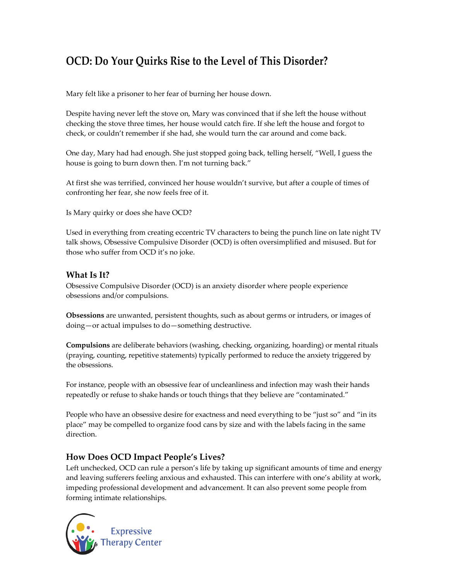# **OCD: Do Your Quirks Rise to the Level of This Disorder?**

Mary felt like a prisoner to her fear of burning her house down.

Despite having never left the stove on, Mary was convinced that if she left the house without checking the stove three times, her house would catch fire. If she left the house and forgot to check, or couldn't remember if she had, she would turn the car around and come back.

One day, Mary had had enough. She just stopped going back, telling herself, "Well, I guess the house is going to burn down then. I'm not turning back."

At first she was terrified, convinced her house wouldn't survive, but after a couple of times of confronting her fear, she now feels free of it.

Is Mary quirky or does she have OCD?

Used in everything from creating eccentric TV characters to being the punch line on late night TV talk shows, Obsessive Compulsive Disorder (OCD) is often oversimplified and misused. But for those who suffer from OCD it's no joke.

### **What Is It?**

Obsessive Compulsive Disorder (OCD) is an anxiety disorder where people experience obsessions and/or compulsions.

**Obsessions** are unwanted, persistent thoughts, such as about germs or intruders, or images of doing—or actual impulses to do—something destructive.

**Compulsions** are deliberate behaviors (washing, checking, organizing, hoarding) or mental rituals (praying, counting, repetitive statements) typically performed to reduce the anxiety triggered by the obsessions.

For instance, people with an obsessive fear of uncleanliness and infection may wash their hands repeatedly or refuse to shake hands or touch things that they believe are "contaminated."

People who have an obsessive desire for exactness and need everything to be "just so" and "in its place" may be compelled to organize food cans by size and with the labels facing in the same direction.

## **How Does OCD Impact People's Lives?**

Left unchecked, OCD can rule a person's life by taking up significant amounts of time and energy and leaving sufferers feeling anxious and exhausted. This can interfere with one's ability at work, impeding professional development and advancement. It can also prevent some people from forming intimate relationships.